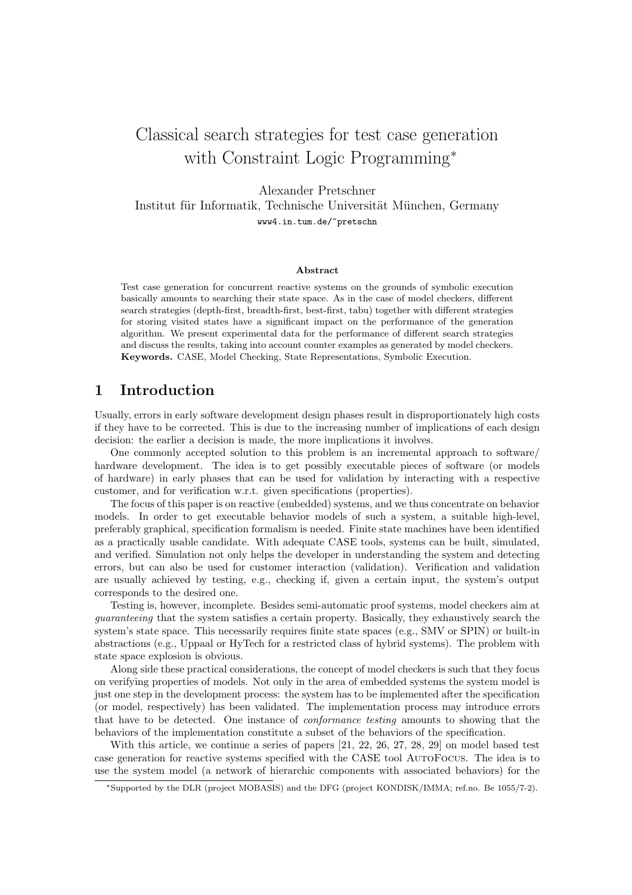# Classical search strategies for test case generation with Constraint Logic Programming<sup>∗</sup>

Alexander Pretschner

Institut für Informatik, Technische Universität München, Germany www4.in.tum.de/~pretschn

#### Abstract

Test case generation for concurrent reactive systems on the grounds of symbolic execution basically amounts to searching their state space. As in the case of model checkers, different search strategies (depth-first, breadth-first, best-first, tabu) together with different strategies for storing visited states have a significant impact on the performance of the generation algorithm. We present experimental data for the performance of different search strategies and discuss the results, taking into account counter examples as generated by model checkers. Keywords. CASE, Model Checking, State Representations, Symbolic Execution.

## 1 Introduction

Usually, errors in early software development design phases result in disproportionately high costs if they have to be corrected. This is due to the increasing number of implications of each design decision: the earlier a decision is made, the more implications it involves.

One commonly accepted solution to this problem is an incremental approach to software/ hardware development. The idea is to get possibly executable pieces of software (or models of hardware) in early phases that can be used for validation by interacting with a respective customer, and for verification w.r.t. given specifications (properties).

The focus of this paper is on reactive (embedded) systems, and we thus concentrate on behavior models. In order to get executable behavior models of such a system, a suitable high-level, preferably graphical, specification formalism is needed. Finite state machines have been identified as a practically usable candidate. With adequate CASE tools, systems can be built, simulated, and verified. Simulation not only helps the developer in understanding the system and detecting errors, but can also be used for customer interaction (validation). Verification and validation are usually achieved by testing, e.g., checking if, given a certain input, the system's output corresponds to the desired one.

Testing is, however, incomplete. Besides semi-automatic proof systems, model checkers aim at guaranteeing that the system satisfies a certain property. Basically, they exhaustively search the system's state space. This necessarily requires finite state spaces (e.g., SMV or SPIN) or built-in abstractions (e.g., Uppaal or HyTech for a restricted class of hybrid systems). The problem with state space explosion is obvious.

Along side these practical considerations, the concept of model checkers is such that they focus on verifying properties of models. Not only in the area of embedded systems the system model is just one step in the development process: the system has to be implemented after the specification (or model, respectively) has been validated. The implementation process may introduce errors that have to be detected. One instance of conformance testing amounts to showing that the behaviors of the implementation constitute a subset of the behaviors of the specification.

With this article, we continue a series of papers [21, 22, 26, 27, 28, 29] on model based test case generation for reactive systems specified with the CASE tool AutoFocus. The idea is to use the system model (a network of hierarchic components with associated behaviors) for the

<sup>∗</sup>Supported by the DLR (project MOBASIS) and the DFG (project KONDISK/IMMA; ref.no. Be 1055/7-2).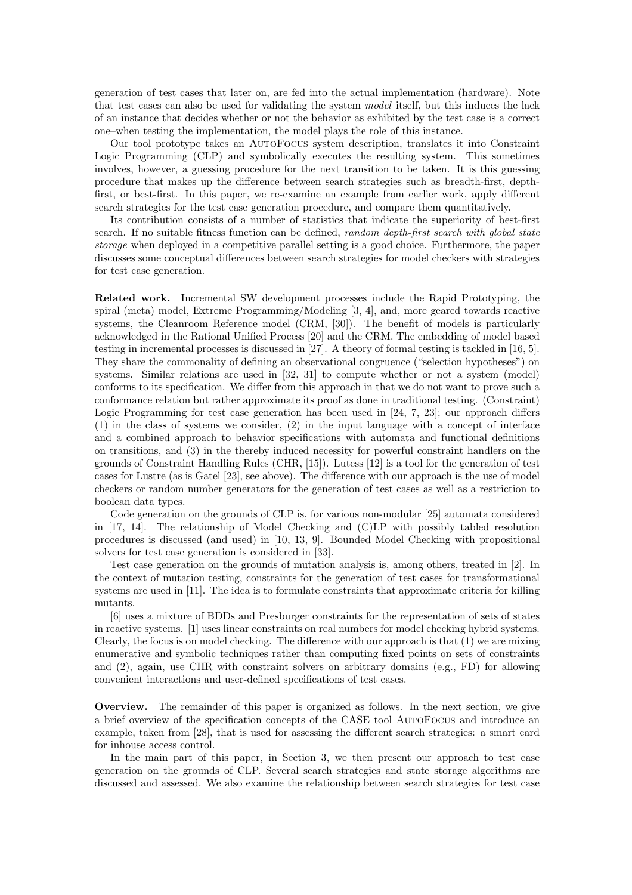generation of test cases that later on, are fed into the actual implementation (hardware). Note that test cases can also be used for validating the system model itself, but this induces the lack of an instance that decides whether or not the behavior as exhibited by the test case is a correct one–when testing the implementation, the model plays the role of this instance.

Our tool prototype takes an AutoFocus system description, translates it into Constraint Logic Programming (CLP) and symbolically executes the resulting system. This sometimes involves, however, a guessing procedure for the next transition to be taken. It is this guessing procedure that makes up the difference between search strategies such as breadth-first, depthfirst, or best-first. In this paper, we re-examine an example from earlier work, apply different search strategies for the test case generation procedure, and compare them quantitatively.

Its contribution consists of a number of statistics that indicate the superiority of best-first search. If no suitable fitness function can be defined, *random depth-first search with global state* storage when deployed in a competitive parallel setting is a good choice. Furthermore, the paper discusses some conceptual differences between search strategies for model checkers with strategies for test case generation.

Related work. Incremental SW development processes include the Rapid Prototyping, the spiral (meta) model, Extreme Programming/Modeling [3, 4], and, more geared towards reactive systems, the Cleanroom Reference model (CRM, [30]). The benefit of models is particularly acknowledged in the Rational Unified Process [20] and the CRM. The embedding of model based testing in incremental processes is discussed in [27]. A theory of formal testing is tackled in [16, 5]. They share the commonality of defining an observational congruence ("selection hypotheses") on systems. Similar relations are used in [32, 31] to compute whether or not a system (model) conforms to its specification. We differ from this approach in that we do not want to prove such a conformance relation but rather approximate its proof as done in traditional testing. (Constraint) Logic Programming for test case generation has been used in [24, 7, 23]; our approach differs (1) in the class of systems we consider, (2) in the input language with a concept of interface and a combined approach to behavior specifications with automata and functional definitions on transitions, and (3) in the thereby induced necessity for powerful constraint handlers on the grounds of Constraint Handling Rules (CHR, [15]). Lutess [12] is a tool for the generation of test cases for Lustre (as is Gatel [23], see above). The difference with our approach is the use of model checkers or random number generators for the generation of test cases as well as a restriction to boolean data types.

Code generation on the grounds of CLP is, for various non-modular [25] automata considered in [17, 14]. The relationship of Model Checking and (C)LP with possibly tabled resolution procedures is discussed (and used) in [10, 13, 9]. Bounded Model Checking with propositional solvers for test case generation is considered in [33].

Test case generation on the grounds of mutation analysis is, among others, treated in [2]. In the context of mutation testing, constraints for the generation of test cases for transformational systems are used in [11]. The idea is to formulate constraints that approximate criteria for killing mutants.

[6] uses a mixture of BDDs and Presburger constraints for the representation of sets of states in reactive systems. [1] uses linear constraints on real numbers for model checking hybrid systems. Clearly, the focus is on model checking. The difference with our approach is that (1) we are mixing enumerative and symbolic techniques rather than computing fixed points on sets of constraints and (2), again, use CHR with constraint solvers on arbitrary domains (e.g., FD) for allowing convenient interactions and user-defined specifications of test cases.

Overview. The remainder of this paper is organized as follows. In the next section, we give a brief overview of the specification concepts of the CASE tool AutoFocus and introduce an example, taken from [28], that is used for assessing the different search strategies: a smart card for inhouse access control.

In the main part of this paper, in Section 3, we then present our approach to test case generation on the grounds of CLP. Several search strategies and state storage algorithms are discussed and assessed. We also examine the relationship between search strategies for test case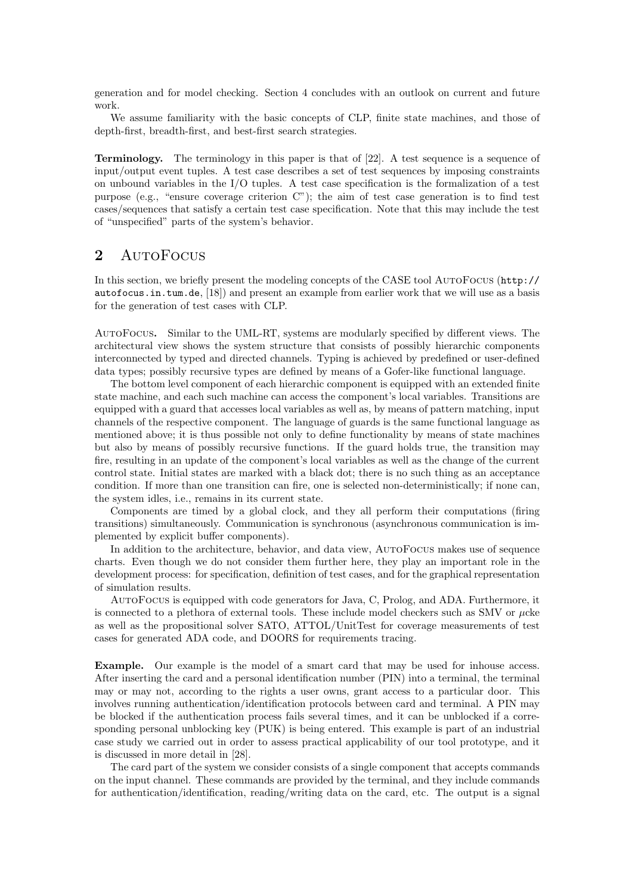generation and for model checking. Section 4 concludes with an outlook on current and future work.

We assume familiarity with the basic concepts of CLP, finite state machines, and those of depth-first, breadth-first, and best-first search strategies.

Terminology. The terminology in this paper is that of [22]. A test sequence is a sequence of input/output event tuples. A test case describes a set of test sequences by imposing constraints on unbound variables in the I/O tuples. A test case specification is the formalization of a test purpose (e.g., "ensure coverage criterion C"); the aim of test case generation is to find test cases/sequences that satisfy a certain test case specification. Note that this may include the test of "unspecified" parts of the system's behavior.

# 2 AutoFocus

In this section, we briefly present the modeling concepts of the CASE tool AutoFocus (http:// autofocus.in.tum.de, [18]) and present an example from earlier work that we will use as a basis for the generation of test cases with CLP.

AutoFocus. Similar to the UML-RT, systems are modularly specified by different views. The architectural view shows the system structure that consists of possibly hierarchic components interconnected by typed and directed channels. Typing is achieved by predefined or user-defined data types; possibly recursive types are defined by means of a Gofer-like functional language.

The bottom level component of each hierarchic component is equipped with an extended finite state machine, and each such machine can access the component's local variables. Transitions are equipped with a guard that accesses local variables as well as, by means of pattern matching, input channels of the respective component. The language of guards is the same functional language as mentioned above; it is thus possible not only to define functionality by means of state machines but also by means of possibly recursive functions. If the guard holds true, the transition may fire, resulting in an update of the component's local variables as well as the change of the current control state. Initial states are marked with a black dot; there is no such thing as an acceptance condition. If more than one transition can fire, one is selected non-deterministically; if none can, the system idles, i.e., remains in its current state.

Components are timed by a global clock, and they all perform their computations (firing transitions) simultaneously. Communication is synchronous (asynchronous communication is implemented by explicit buffer components).

In addition to the architecture, behavior, and data view, AutoFocus makes use of sequence charts. Even though we do not consider them further here, they play an important role in the development process: for specification, definition of test cases, and for the graphical representation of simulation results.

AutoFocus is equipped with code generators for Java, C, Prolog, and ADA. Furthermore, it is connected to a plethora of external tools. These include model checkers such as SMV or  $\mu$ cke as well as the propositional solver SATO, ATTOL/UnitTest for coverage measurements of test cases for generated ADA code, and DOORS for requirements tracing.

Example. Our example is the model of a smart card that may be used for inhouse access. After inserting the card and a personal identification number (PIN) into a terminal, the terminal may or may not, according to the rights a user owns, grant access to a particular door. This involves running authentication/identification protocols between card and terminal. A PIN may be blocked if the authentication process fails several times, and it can be unblocked if a corresponding personal unblocking key (PUK) is being entered. This example is part of an industrial case study we carried out in order to assess practical applicability of our tool prototype, and it is discussed in more detail in [28].

The card part of the system we consider consists of a single component that accepts commands on the input channel. These commands are provided by the terminal, and they include commands for authentication/identification, reading/writing data on the card, etc. The output is a signal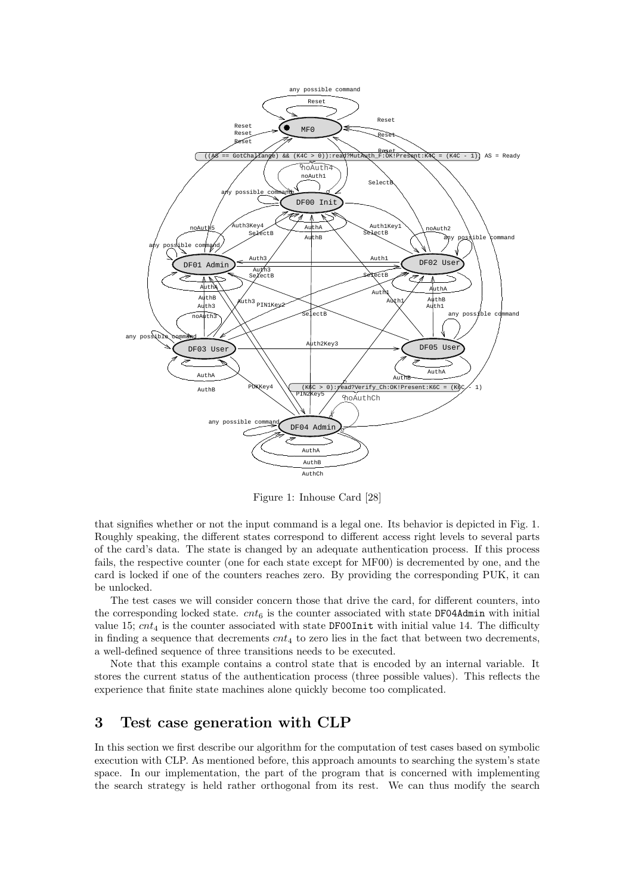

Figure 1: Inhouse Card [28]

that signifies whether or not the input command is a legal one. Its behavior is depicted in Fig. 1. Roughly speaking, the different states correspond to different access right levels to several parts of the card's data. The state is changed by an adequate authentication process. If this process fails, the respective counter (one for each state except for MF00) is decremented by one, and the card is locked if one of the counters reaches zero. By providing the corresponding PUK, it can be unlocked.

The test cases we will consider concern those that drive the card, for different counters, into the corresponding locked state.  $cnt<sub>6</sub>$  is the counter associated with state DF04Admin with initial value 15;  $cnt_4$  is the counter associated with state DF00Init with initial value 14. The difficulty in finding a sequence that decrements  $cnt_4$  to zero lies in the fact that between two decrements, a well-defined sequence of three transitions needs to be executed.

Note that this example contains a control state that is encoded by an internal variable. It stores the current status of the authentication process (three possible values). This reflects the experience that finite state machines alone quickly become too complicated.

# 3 Test case generation with CLP

In this section we first describe our algorithm for the computation of test cases based on symbolic execution with CLP. As mentioned before, this approach amounts to searching the system's state space. In our implementation, the part of the program that is concerned with implementing the search strategy is held rather orthogonal from its rest. We can thus modify the search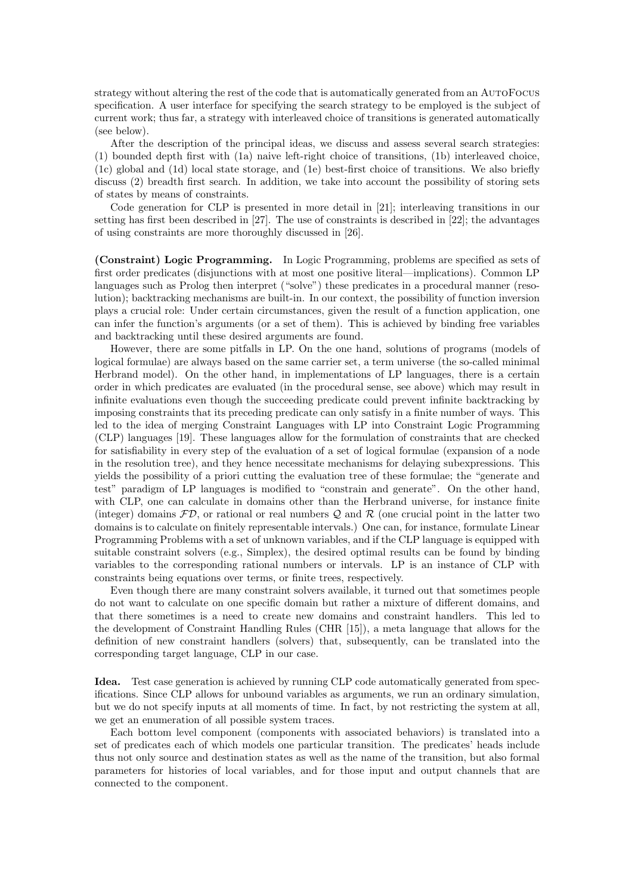strategy without altering the rest of the code that is automatically generated from an AutoFocus specification. A user interface for specifying the search strategy to be employed is the subject of current work; thus far, a strategy with interleaved choice of transitions is generated automatically (see below).

After the description of the principal ideas, we discuss and assess several search strategies: (1) bounded depth first with (1a) naive left-right choice of transitions, (1b) interleaved choice, (1c) global and (1d) local state storage, and (1e) best-first choice of transitions. We also briefly discuss (2) breadth first search. In addition, we take into account the possibility of storing sets of states by means of constraints.

Code generation for CLP is presented in more detail in [21]; interleaving transitions in our setting has first been described in [27]. The use of constraints is described in [22]; the advantages of using constraints are more thoroughly discussed in [26].

(Constraint) Logic Programming. In Logic Programming, problems are specified as sets of first order predicates (disjunctions with at most one positive literal—implications). Common LP languages such as Prolog then interpret ("solve") these predicates in a procedural manner (resolution); backtracking mechanisms are built-in. In our context, the possibility of function inversion plays a crucial role: Under certain circumstances, given the result of a function application, one can infer the function's arguments (or a set of them). This is achieved by binding free variables and backtracking until these desired arguments are found.

However, there are some pitfalls in LP. On the one hand, solutions of programs (models of logical formulae) are always based on the same carrier set, a term universe (the so-called minimal Herbrand model). On the other hand, in implementations of LP languages, there is a certain order in which predicates are evaluated (in the procedural sense, see above) which may result in infinite evaluations even though the succeeding predicate could prevent infinite backtracking by imposing constraints that its preceding predicate can only satisfy in a finite number of ways. This led to the idea of merging Constraint Languages with LP into Constraint Logic Programming (CLP) languages [19]. These languages allow for the formulation of constraints that are checked for satisfiability in every step of the evaluation of a set of logical formulae (expansion of a node in the resolution tree), and they hence necessitate mechanisms for delaying subexpressions. This yields the possibility of a priori cutting the evaluation tree of these formulae; the "generate and test" paradigm of LP languages is modified to "constrain and generate". On the other hand, with CLP, one can calculate in domains other than the Herbrand universe, for instance finite (integer) domains  $FD$ , or rational or real numbers Q and R (one crucial point in the latter two domains is to calculate on finitely representable intervals.) One can, for instance, formulate Linear Programming Problems with a set of unknown variables, and if the CLP language is equipped with suitable constraint solvers (e.g., Simplex), the desired optimal results can be found by binding variables to the corresponding rational numbers or intervals. LP is an instance of CLP with constraints being equations over terms, or finite trees, respectively.

Even though there are many constraint solvers available, it turned out that sometimes people do not want to calculate on one specific domain but rather a mixture of different domains, and that there sometimes is a need to create new domains and constraint handlers. This led to the development of Constraint Handling Rules (CHR [15]), a meta language that allows for the definition of new constraint handlers (solvers) that, subsequently, can be translated into the corresponding target language, CLP in our case.

Idea. Test case generation is achieved by running CLP code automatically generated from specifications. Since CLP allows for unbound variables as arguments, we run an ordinary simulation, but we do not specify inputs at all moments of time. In fact, by not restricting the system at all, we get an enumeration of all possible system traces.

Each bottom level component (components with associated behaviors) is translated into a set of predicates each of which models one particular transition. The predicates' heads include thus not only source and destination states as well as the name of the transition, but also formal parameters for histories of local variables, and for those input and output channels that are connected to the component.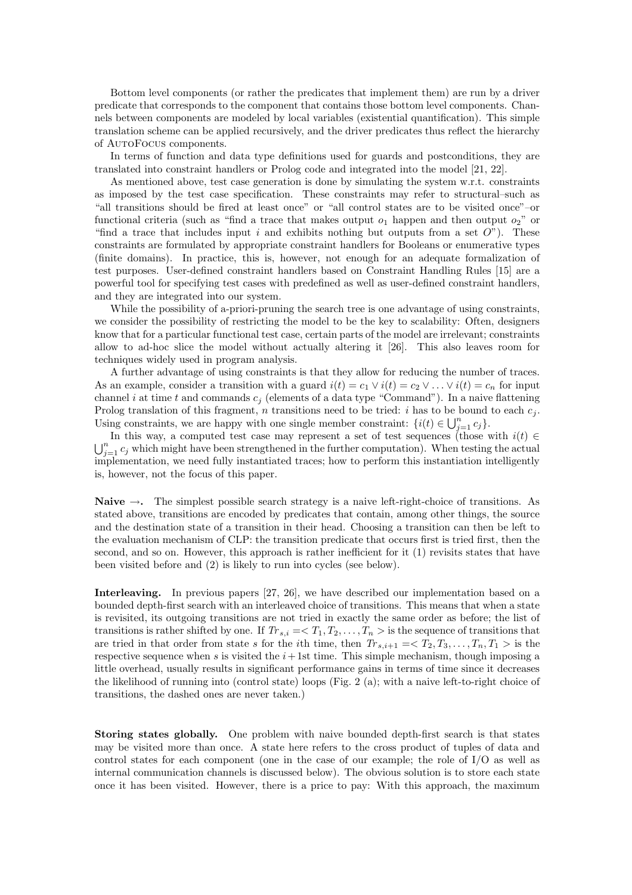Bottom level components (or rather the predicates that implement them) are run by a driver predicate that corresponds to the component that contains those bottom level components. Channels between components are modeled by local variables (existential quantification). This simple translation scheme can be applied recursively, and the driver predicates thus reflect the hierarchy of AutoFocus components.

In terms of function and data type definitions used for guards and postconditions, they are translated into constraint handlers or Prolog code and integrated into the model [21, 22].

As mentioned above, test case generation is done by simulating the system w.r.t. constraints as imposed by the test case specification. These constraints may refer to structural–such as "all transitions should be fired at least once" or "all control states are to be visited once"–or functional criteria (such as "find a trace that makes output  $o_1$  happen and then output  $o_2$ " or "find a trace that includes input i and exhibits nothing but outputs from a set  $O$ "). These constraints are formulated by appropriate constraint handlers for Booleans or enumerative types (finite domains). In practice, this is, however, not enough for an adequate formalization of test purposes. User-defined constraint handlers based on Constraint Handling Rules [15] are a powerful tool for specifying test cases with predefined as well as user-defined constraint handlers, and they are integrated into our system.

While the possibility of a-priori-pruning the search tree is one advantage of using constraints, we consider the possibility of restricting the model to be the key to scalability: Often, designers know that for a particular functional test case, certain parts of the model are irrelevant; constraints allow to ad-hoc slice the model without actually altering it [26]. This also leaves room for techniques widely used in program analysis.

A further advantage of using constraints is that they allow for reducing the number of traces. As an example, consider a transition with a guard  $i(t) = c_1 \vee i(t) = c_2 \vee \dots \vee i(t) = c_n$  for input channel i at time t and commands  $c_j$  (elements of a data type "Command"). In a naive flattening Prolog translation of this fragment, n transitions need to be tried: i has to be bound to each  $c_j$ . Using constraints, we are happy with one single member constraint:  $\{i(t) \in \bigcup_{j=1}^n c_j\}.$ 

In this way, a computed test case may represent a set of test sequences (those with  $i(t) \in$  $\bigcup_{j=1}^n c_j$  which might have been strengthened in the further computation). When testing the actual implementation, we need fully instantiated traces; how to perform this instantiation intelligently is, however, not the focus of this paper.

Naive  $\rightarrow$ . The simplest possible search strategy is a naive left-right-choice of transitions. As stated above, transitions are encoded by predicates that contain, among other things, the source and the destination state of a transition in their head. Choosing a transition can then be left to the evaluation mechanism of CLP: the transition predicate that occurs first is tried first, then the second, and so on. However, this approach is rather inefficient for it (1) revisits states that have been visited before and (2) is likely to run into cycles (see below).

Interleaving. In previous papers [27, 26], we have described our implementation based on a bounded depth-first search with an interleaved choice of transitions. This means that when a state is revisited, its outgoing transitions are not tried in exactly the same order as before; the list of transitions is rather shifted by one. If  $Tr_{s,i} = \langle T_1, T_2, \ldots, T_n \rangle$  is the sequence of transitions that are tried in that order from state s for the *i*th time, then  $Tr_{s,i+1} = \langle T_2, T_3, \ldots, T_n, T_1 \rangle$  is the respective sequence when s is visited the  $i+1$ st time. This simple mechanism, though imposing a little overhead, usually results in significant performance gains in terms of time since it decreases the likelihood of running into (control state) loops (Fig. 2 (a); with a naive left-to-right choice of transitions, the dashed ones are never taken.)

Storing states globally. One problem with naive bounded depth-first search is that states may be visited more than once. A state here refers to the cross product of tuples of data and control states for each component (one in the case of our example; the role of I/O as well as internal communication channels is discussed below). The obvious solution is to store each state once it has been visited. However, there is a price to pay: With this approach, the maximum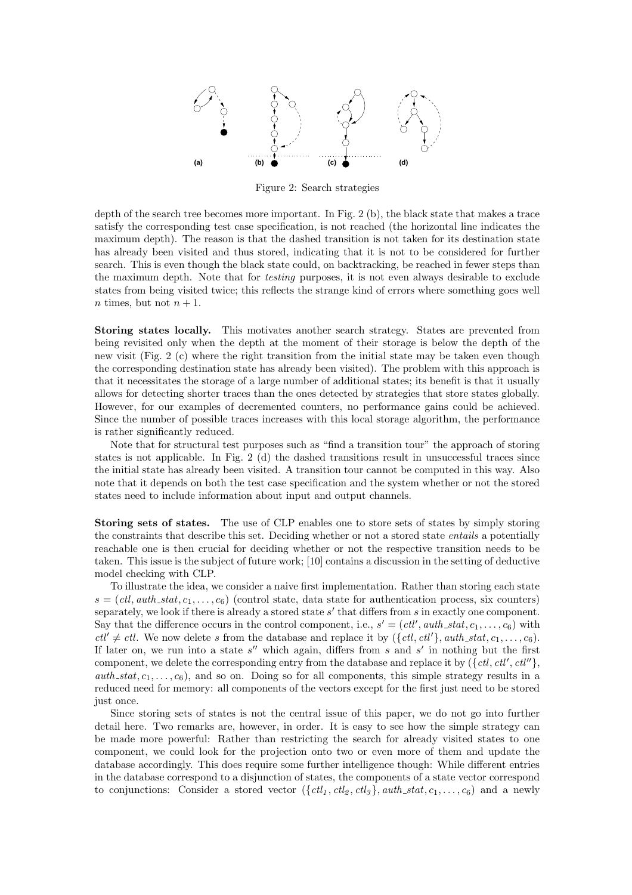

Figure 2: Search strategies

depth of the search tree becomes more important. In Fig. 2 (b), the black state that makes a trace satisfy the corresponding test case specification, is not reached (the horizontal line indicates the maximum depth). The reason is that the dashed transition is not taken for its destination state has already been visited and thus stored, indicating that it is not to be considered for further search. This is even though the black state could, on backtracking, be reached in fewer steps than the maximum depth. Note that for *testing* purposes, it is not even always desirable to exclude states from being visited twice; this reflects the strange kind of errors where something goes well *n* times, but not  $n + 1$ .

Storing states locally. This motivates another search strategy. States are prevented from being revisited only when the depth at the moment of their storage is below the depth of the new visit (Fig. 2 (c) where the right transition from the initial state may be taken even though the corresponding destination state has already been visited). The problem with this approach is that it necessitates the storage of a large number of additional states; its benefit is that it usually allows for detecting shorter traces than the ones detected by strategies that store states globally. However, for our examples of decremented counters, no performance gains could be achieved. Since the number of possible traces increases with this local storage algorithm, the performance is rather significantly reduced.

Note that for structural test purposes such as "find a transition tour" the approach of storing states is not applicable. In Fig. 2 (d) the dashed transitions result in unsuccessful traces since the initial state has already been visited. A transition tour cannot be computed in this way. Also note that it depends on both the test case specification and the system whether or not the stored states need to include information about input and output channels.

Storing sets of states. The use of CLP enables one to store sets of states by simply storing the constraints that describe this set. Deciding whether or not a stored state *entails* a potentially reachable one is then crucial for deciding whether or not the respective transition needs to be taken. This issue is the subject of future work; [10] contains a discussion in the setting of deductive model checking with CLP.

To illustrate the idea, we consider a naive first implementation. Rather than storing each state  $s = (ctl,auth\_stat, c_1, \ldots, c_6)$  (control state, data state for authentication process, six counters) separately, we look if there is already a stored state  $s'$  that differs from  $s$  in exactly one component. Say that the difference occurs in the control component, i.e.,  $s' = (ctl', \text{auth\_stat}, c_1, \ldots, c_6)$  with  $ctl' \neq ctl$ . We now delete s from the database and replace it by  $({\lbrace ctl, ctl' \rbrace}, auth\_stat, c_1, \ldots, c_6).$ If later on, we run into a state  $s''$  which again, differs from s and s' in nothing but the first component, we delete the corresponding entry from the database and replace it by  $({\lbrace ctl, ctl', ctl'' \rbrace},$  $auth\_stat, c_1, \ldots, c_6$ , and so on. Doing so for all components, this simple strategy results in a reduced need for memory: all components of the vectors except for the first just need to be stored just once.

Since storing sets of states is not the central issue of this paper, we do not go into further detail here. Two remarks are, however, in order. It is easy to see how the simple strategy can be made more powerful: Rather than restricting the search for already visited states to one component, we could look for the projection onto two or even more of them and update the database accordingly. This does require some further intelligence though: While different entries in the database correspond to a disjunction of states, the components of a state vector correspond to conjunctions: Consider a stored vector  $({\lbrace ct_l, ctl_2, ctl_3 \rbrace}, \text{auth\_stat}, c_1, \ldots, c_6)$  and a newly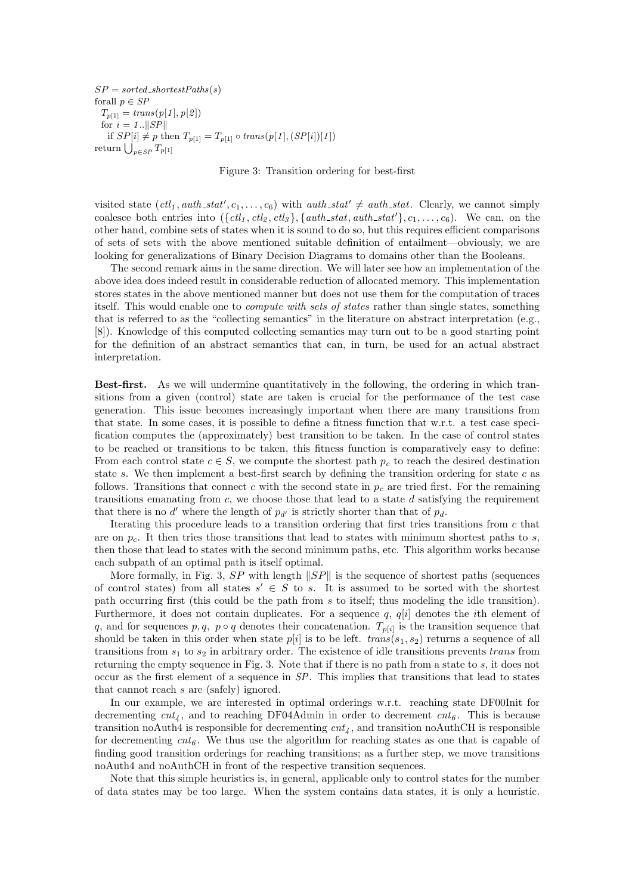$SP = sorted\_shortestPaths(s)$ forall  $p \in SP$  $T_{p[1]} = \mathit{trans}(p[1], p[2])$ for  $i = 1$ ...  $||SP||$ if  $SP[i] \neq p$  then  $T_{p[1]} = T_{p[1]} \circ trans(p[1], (SP[i])[1])$ return  $\bigcup_{p\in SP} T_{p[1]}$ 

Figure 3: Transition ordering for best-first

visited state  $(ctl_1, \text{auth\_stat}', c_1, \ldots, c_6)$  with  $\text{auth\_stat}' \neq \text{auth\_stat}$ . Clearly, we cannot simply coalesce both entries into  $({\lbrace ct_l, ctl_2, ctl_3 \rbrace},{\lbrace auth\_stat, auth\_stat' \rbrace}, c_1, \ldots, c_6)$ . We can, on the other hand, combine sets of states when it is sound to do so, but this requires efficient comparisons of sets of sets with the above mentioned suitable definition of entailment—obviously, we are looking for generalizations of Binary Decision Diagrams to domains other than the Booleans.

The second remark aims in the same direction. We will later see how an implementation of the above idea does indeed result in considerable reduction of allocated memory. This implementation stores states in the above mentioned manner but does not use them for the computation of traces itself. This would enable one to *compute with sets of states* rather than single states, something that is referred to as the "collecting semantics" in the literature on abstract interpretation (e.g., [8]). Knowledge of this computed collecting semantics may turn out to be a good starting point for the definition of an abstract semantics that can, in turn, be used for an actual abstract interpretation.

Best-first. As we will undermine quantitatively in the following, the ordering in which transitions from a given (control) state are taken is crucial for the performance of the test case generation. This issue becomes increasingly important when there are many transitions from that state. In some cases, it is possible to define a fitness function that w.r.t. a test case specification computes the (approximately) best transition to be taken. In the case of control states to be reached or transitions to be taken, this fitness function is comparatively easy to define: From each control state  $c \in S$ , we compute the shortest path  $p_c$  to reach the desired destination state s. We then implement a best-first search by defining the transition ordering for state  $c$  as follows. Transitions that connect c with the second state in  $p_c$  are tried first. For the remaining transitions emanating from  $c$ , we choose those that lead to a state  $d$  satisfying the requirement that there is no  $d'$  where the length of  $p_{d'}$  is strictly shorter than that of  $p_d$ .

Iterating this procedure leads to a transition ordering that first tries transitions from  $c$  that are on  $p_c$ . It then tries those transitions that lead to states with minimum shortest paths to s, then those that lead to states with the second minimum paths, etc. This algorithm works because each subpath of an optimal path is itself optimal.

More formally, in Fig. 3,  $SP$  with length  $||SP||$  is the sequence of shortest paths (sequences of control states) from all states  $s' \in S$  to s. It is assumed to be sorted with the shortest path occurring first (this could be the path from s to itself; thus modeling the idle transition). Furthermore, it does not contain duplicates. For a sequence  $q, q[i]$  denotes the *i*th element of q, and for sequences  $p, q, p \circ q$  denotes their concatenation.  $T_{p[i]}$  is the transition sequence that should be taken in this order when state  $p[i]$  is to be left.  $trans(s_1, s_2)$  returns a sequence of all transitions from  $s_1$  to  $s_2$  in arbitrary order. The existence of idle transitions prevents trans from returning the empty sequence in Fig. 3. Note that if there is no path from a state to s, it does not occur as the first element of a sequence in  $SP$ . This implies that transitions that lead to states that cannot reach s are (safely) ignored.

In our example, we are interested in optimal orderings w.r.t. reaching state DF00Init for decrementing  $cnt<sub>4</sub>$ , and to reaching DF04Admin in order to decrement  $cnt<sub>6</sub>$ . This is because transition noAuth4 is responsible for decrementing  $cnt_4$ , and transition noAuthCH is responsible for decrementing  $cnt<sub>6</sub>$ . We thus use the algorithm for reaching states as one that is capable of finding good transition orderings for reaching transitions; as a further step, we move transitions noAuth4 and noAuthCH in front of the respective transition sequences.

Note that this simple heuristics is, in general, applicable only to control states for the number of data states may be too large. When the system contains data states, it is only a heuristic.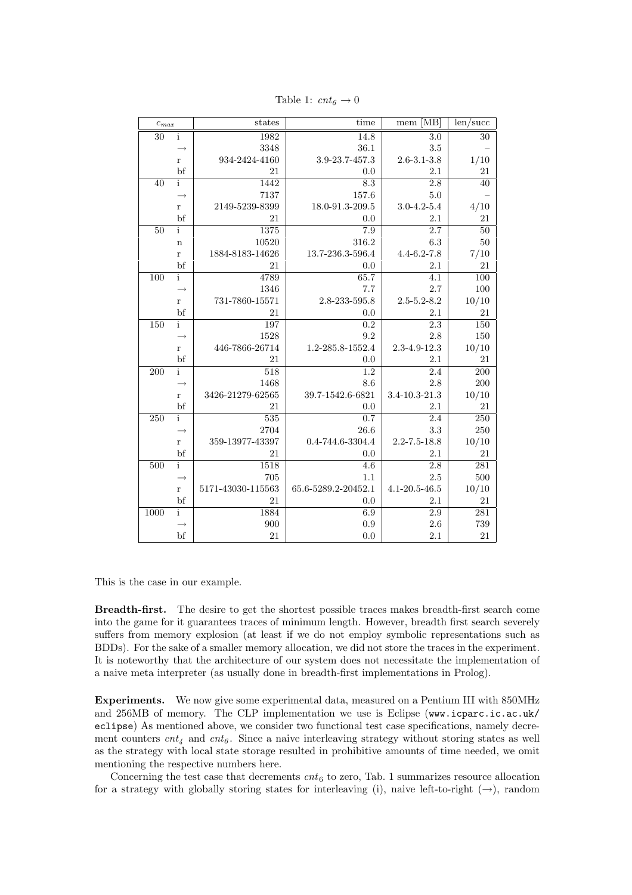| $c_{max}$ |                   | states            | time                | [MB]<br>$\mathop{\mathrm{mem}}$ | len/sec |
|-----------|-------------------|-------------------|---------------------|---------------------------------|---------|
| 30        | $\mathbf{i}$      | 1982              | 14.8                | $\overline{3.0}$                | 30      |
|           |                   | 3348              | 36.1                | 3.5                             |         |
|           | r                 | 934-2424-4160     | 3.9-23.7-457.3      | $2.6 - 3.1 - 3.8$               | 1/10    |
|           | bf                | 21                | $0.0\,$             | 2.1                             | 21      |
| 40        | $\mathbf{i}$      | 1442              | 8.3                 | 2.8                             | 40      |
|           |                   | 7137              | 157.6               | 5.0                             |         |
|           | $\bf r$           | 2149-5239-8399    | 18.0-91.3-209.5     | $3.0 - 4.2 - 5.4$               | 4/10    |
|           | bf                | 21                | 0.0                 | 2.1                             | 21      |
| 50        | $\mathbf{i}$      | 1375              | 7.9                 | 2.7                             | 50      |
|           | $\mathbf n$       | 10520             | 316.2               | 6.3                             | 50      |
|           | $\bf r$           | 1884-8183-14626   | 13.7-236.3-596.4    | $4.4 - 6.2 - 7.8$               | 7/10    |
|           | bf                | 21                | 0.0                 | 2.1                             | 21      |
| 100       | $\mathbf{i}$      | 4789              | 65.7                | $\overline{4.1}$                | 100     |
|           | $\longrightarrow$ | 1346              | 7.7                 | 2.7                             | 100     |
|           | $\bf r$           | 731-7860-15571    | 2.8-233-595.8       | $2.5 - 5.2 - 8.2$               | 10/10   |
|           | bf                | 21                | 0.0                 | 2.1                             | 21      |
| 150       | $\overline{i}$    | 197               | 0.2                 | 2.3                             | 150     |
|           | $\rightarrow$     | 1528              | 9.2                 | 2.8                             | 150     |
|           | $\mathbf{r}$      | 446-7866-26714    | 1.2-285.8-1552.4    | 2.3-4.9-12.3                    | 10/10   |
|           | bf                | 21                | 0.0                 | 2.1                             | 21      |
| 200       | $\mathbf{i}$      | 518               | 1.2                 | $\overline{2.4}$                | 200     |
|           | $\rightarrow$     | 1468              | 8.6                 | 2.8                             | 200     |
|           | $\mathbf{r}$      | 3426-21279-62565  | 39.7-1542.6-6821    | $3.4 - 10.3 - 21.3$             | 10/10   |
|           | bf                | 21                | 0.0                 | 2.1                             | 21      |
| 250       | $\mathbf{i}$      | 535               | 0.7                 | $\overline{2.4}$                | 250     |
|           | $\rightarrow$     | 2704              | 26.6                | 3.3                             | 250     |
|           | $\bf r$           | 359-13977-43397   | 0.4-744.6-3304.4    | $2.2 - 7.5 - 18.8$              | 10/10   |
|           | bf                | 21                | 0.0                 | 2.1                             | 21      |
| 500       | $\mathbf{i}$      | 1518              | 4.6                 | 2.8                             | 281     |
|           | $\rightarrow$     | 705               | 1.1                 | 2.5                             | 500     |
|           | $\mathbf{r}$      | 5171-43030-115563 | 65.6-5289.2-20452.1 | $4.1 - 20.5 - 46.5$             | 10/10   |
|           | bf                | 21                | $0.0\,$             | 2.1                             | 21      |
| 1000      | $\mathbf{i}$      | 1884              | 6.9                 | 2.9                             | 281     |
|           | $\rightarrow$     | 900               | 0.9                 | 2.6                             | 739     |
|           | bf                | 21                | 0.0                 | 2.1                             | 21      |

Table 1:  $cnt<sub>6</sub> \rightarrow 0$ 

This is the case in our example.

Breadth-first. The desire to get the shortest possible traces makes breadth-first search come into the game for it guarantees traces of minimum length. However, breadth first search severely suffers from memory explosion (at least if we do not employ symbolic representations such as BDDs). For the sake of a smaller memory allocation, we did not store the traces in the experiment. It is noteworthy that the architecture of our system does not necessitate the implementation of a naive meta interpreter (as usually done in breadth-first implementations in Prolog).

Experiments. We now give some experimental data, measured on a Pentium III with 850MHz and 256MB of memory. The CLP implementation we use is Eclipse (www.icparc.ic.ac.uk/ eclipse) As mentioned above, we consider two functional test case specifications, namely decrement counters  $cnt_4$  and  $cnt_6$ . Since a naive interleaving strategy without storing states as well as the strategy with local state storage resulted in prohibitive amounts of time needed, we omit mentioning the respective numbers here.

Concerning the test case that decrements  $cnt<sub>6</sub>$  to zero, Tab. 1 summarizes resource allocation for a strategy with globally storing states for interleaving (i), naive left-to-right  $(\rightarrow)$ , random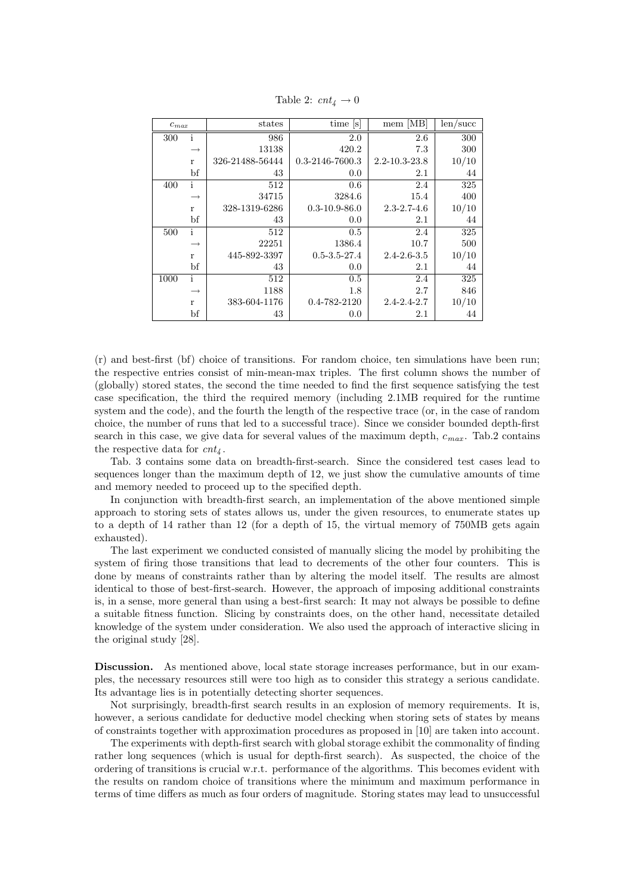| $c_{max}$ |                   | states          | time [s]              | mem [MB]            | len/sec |
|-----------|-------------------|-----------------|-----------------------|---------------------|---------|
| 300       | i                 | 986             | 2.0                   | 2.6                 | 300     |
|           |                   | 13138           | 420.2                 | 7.3                 | 300     |
|           | $\mathbf{r}$      | 326-21488-56444 | $0.3 - 2146 - 7600.3$ | $2.2 - 10.3 - 23.8$ | 10/10   |
|           | bf                | 43              | 0.0                   | 2.1                 | 44      |
| 400       | i                 | 512             | 0.6                   | 2.4                 | 325     |
|           | $\longrightarrow$ | 34715           | 3284.6                | 15.4                | 400     |
|           | $\mathbf r$       | 328-1319-6286   | $0.3 - 10.9 - 86.0$   | $2.3 - 2.7 - 4.6$   | 10/10   |
|           | bf                | 43              | 0.0                   | 2.1                 | 44      |
| 500       | i                 | 512             | $0.5\,$               | 2.4                 | 325     |
|           | $\rightarrow$     | 22251           | 1386.4                | 10.7                | 500     |
|           | r                 | 445-892-3397    | $0.5 - 3.5 - 27.4$    | $2.4 - 2.6 - 3.5$   | 10/10   |
|           | bf                | 43              | 0.0                   | 2.1                 | 44      |
| 1000      | i                 | 512             | 0.5                   | 2.4                 | 325     |
|           | $\rightarrow$     | 1188            | 1.8                   | 2.7                 | 846     |
|           | $\bf r$           | 383-604-1176    | 0.4-782-2120          | $2.4 - 2.4 - 2.7$   | 10/10   |
|           | bf                | 43              | 0.0                   | 2.1                 | 44      |

Table 2:  $cnt_4 \rightarrow 0$ 

(r) and best-first (bf) choice of transitions. For random choice, ten simulations have been run; the respective entries consist of min-mean-max triples. The first column shows the number of (globally) stored states, the second the time needed to find the first sequence satisfying the test case specification, the third the required memory (including 2.1MB required for the runtime system and the code), and the fourth the length of the respective trace (or, in the case of random choice, the number of runs that led to a successful trace). Since we consider bounded depth-first search in this case, we give data for several values of the maximum depth,  $c_{max}$ . Tab.2 contains the respective data for  $cnt_4$ .

Tab. 3 contains some data on breadth-first-search. Since the considered test cases lead to sequences longer than the maximum depth of 12, we just show the cumulative amounts of time and memory needed to proceed up to the specified depth.

In conjunction with breadth-first search, an implementation of the above mentioned simple approach to storing sets of states allows us, under the given resources, to enumerate states up to a depth of 14 rather than 12 (for a depth of 15, the virtual memory of 750MB gets again exhausted).

The last experiment we conducted consisted of manually slicing the model by prohibiting the system of firing those transitions that lead to decrements of the other four counters. This is done by means of constraints rather than by altering the model itself. The results are almost identical to those of best-first-search. However, the approach of imposing additional constraints is, in a sense, more general than using a best-first search: It may not always be possible to define a suitable fitness function. Slicing by constraints does, on the other hand, necessitate detailed knowledge of the system under consideration. We also used the approach of interactive slicing in the original study [28].

Discussion. As mentioned above, local state storage increases performance, but in our examples, the necessary resources still were too high as to consider this strategy a serious candidate. Its advantage lies is in potentially detecting shorter sequences.

Not surprisingly, breadth-first search results in an explosion of memory requirements. It is, however, a serious candidate for deductive model checking when storing sets of states by means of constraints together with approximation procedures as proposed in [10] are taken into account.

The experiments with depth-first search with global storage exhibit the commonality of finding rather long sequences (which is usual for depth-first search). As suspected, the choice of the ordering of transitions is crucial w.r.t. performance of the algorithms. This becomes evident with the results on random choice of transitions where the minimum and maximum performance in terms of time differs as much as four orders of magnitude. Storing states may lead to unsuccessful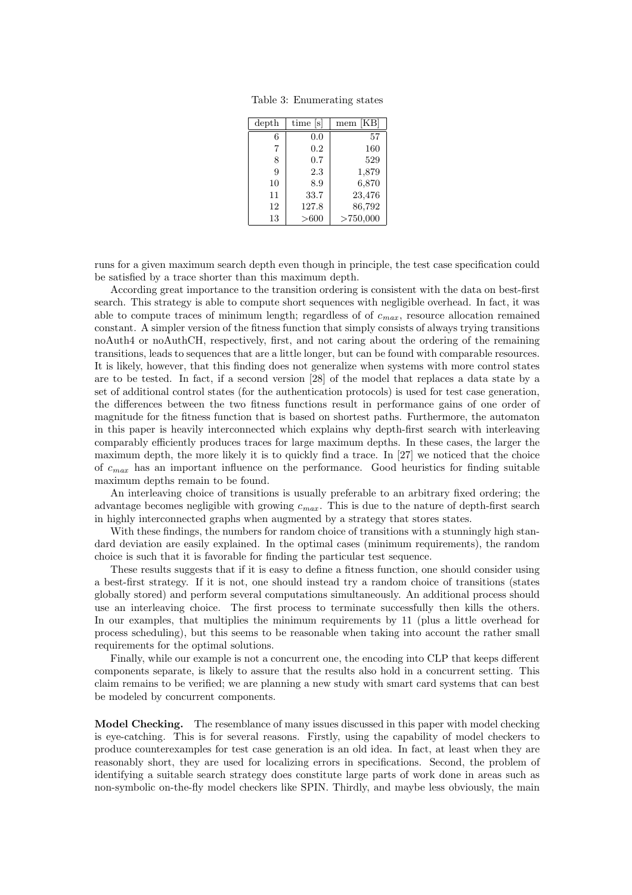Table 3: Enumerating states

| depth | time<br> s | ſКB<br>mem |
|-------|------------|------------|
| 6     | 0.0        | 57         |
| 7     | 0.2        | 160        |
| 8     | 0.7        | 529        |
| 9     | 2.3        | 1,879      |
| 10    | 8.9        | 6,870      |
| 11    | 33.7       | 23,476     |
| 12    | 127.8      | 86,792     |
| 13    | > 600      | >750,000   |

runs for a given maximum search depth even though in principle, the test case specification could be satisfied by a trace shorter than this maximum depth.

According great importance to the transition ordering is consistent with the data on best-first search. This strategy is able to compute short sequences with negligible overhead. In fact, it was able to compute traces of minimum length; regardless of of  $c_{max}$ , resource allocation remained constant. A simpler version of the fitness function that simply consists of always trying transitions noAuth4 or noAuthCH, respectively, first, and not caring about the ordering of the remaining transitions, leads to sequences that are a little longer, but can be found with comparable resources. It is likely, however, that this finding does not generalize when systems with more control states are to be tested. In fact, if a second version [28] of the model that replaces a data state by a set of additional control states (for the authentication protocols) is used for test case generation, the differences between the two fitness functions result in performance gains of one order of magnitude for the fitness function that is based on shortest paths. Furthermore, the automaton in this paper is heavily interconnected which explains why depth-first search with interleaving comparably efficiently produces traces for large maximum depths. In these cases, the larger the maximum depth, the more likely it is to quickly find a trace. In [27] we noticed that the choice of  $c_{max}$  has an important influence on the performance. Good heuristics for finding suitable maximum depths remain to be found.

An interleaving choice of transitions is usually preferable to an arbitrary fixed ordering; the advantage becomes negligible with growing  $c_{max}$ . This is due to the nature of depth-first search in highly interconnected graphs when augmented by a strategy that stores states.

With these findings, the numbers for random choice of transitions with a stunningly high standard deviation are easily explained. In the optimal cases (minimum requirements), the random choice is such that it is favorable for finding the particular test sequence.

These results suggests that if it is easy to define a fitness function, one should consider using a best-first strategy. If it is not, one should instead try a random choice of transitions (states globally stored) and perform several computations simultaneously. An additional process should use an interleaving choice. The first process to terminate successfully then kills the others. In our examples, that multiplies the minimum requirements by 11 (plus a little overhead for process scheduling), but this seems to be reasonable when taking into account the rather small requirements for the optimal solutions.

Finally, while our example is not a concurrent one, the encoding into CLP that keeps different components separate, is likely to assure that the results also hold in a concurrent setting. This claim remains to be verified; we are planning a new study with smart card systems that can best be modeled by concurrent components.

**Model Checking.** The resemblance of many issues discussed in this paper with model checking is eye-catching. This is for several reasons. Firstly, using the capability of model checkers to produce counterexamples for test case generation is an old idea. In fact, at least when they are reasonably short, they are used for localizing errors in specifications. Second, the problem of identifying a suitable search strategy does constitute large parts of work done in areas such as non-symbolic on-the-fly model checkers like SPIN. Thirdly, and maybe less obviously, the main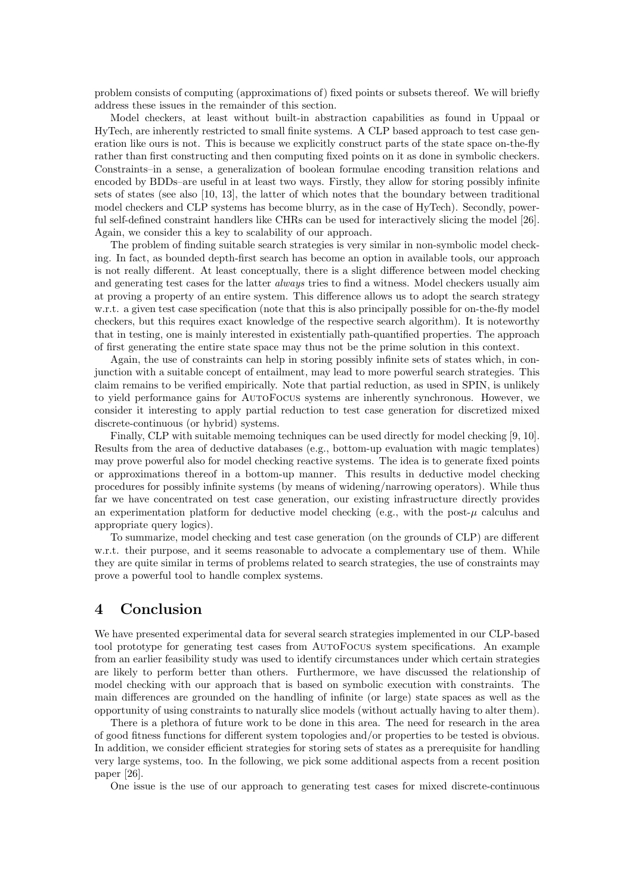problem consists of computing (approximations of) fixed points or subsets thereof. We will briefly address these issues in the remainder of this section.

Model checkers, at least without built-in abstraction capabilities as found in Uppaal or HyTech, are inherently restricted to small finite systems. A CLP based approach to test case generation like ours is not. This is because we explicitly construct parts of the state space on-the-fly rather than first constructing and then computing fixed points on it as done in symbolic checkers. Constraints–in a sense, a generalization of boolean formulae encoding transition relations and encoded by BDDs–are useful in at least two ways. Firstly, they allow for storing possibly infinite sets of states (see also [10, 13], the latter of which notes that the boundary between traditional model checkers and CLP systems has become blurry, as in the case of HyTech). Secondly, powerful self-defined constraint handlers like CHRs can be used for interactively slicing the model [26]. Again, we consider this a key to scalability of our approach.

The problem of finding suitable search strategies is very similar in non-symbolic model checking. In fact, as bounded depth-first search has become an option in available tools, our approach is not really different. At least conceptually, there is a slight difference between model checking and generating test cases for the latter *always* tries to find a witness. Model checkers usually aim at proving a property of an entire system. This difference allows us to adopt the search strategy w.r.t. a given test case specification (note that this is also principally possible for on-the-fly model checkers, but this requires exact knowledge of the respective search algorithm). It is noteworthy that in testing, one is mainly interested in existentially path-quantified properties. The approach of first generating the entire state space may thus not be the prime solution in this context.

Again, the use of constraints can help in storing possibly infinite sets of states which, in conjunction with a suitable concept of entailment, may lead to more powerful search strategies. This claim remains to be verified empirically. Note that partial reduction, as used in SPIN, is unlikely to yield performance gains for AutoFocus systems are inherently synchronous. However, we consider it interesting to apply partial reduction to test case generation for discretized mixed discrete-continuous (or hybrid) systems.

Finally, CLP with suitable memoing techniques can be used directly for model checking [9, 10]. Results from the area of deductive databases (e.g., bottom-up evaluation with magic templates) may prove powerful also for model checking reactive systems. The idea is to generate fixed points or approximations thereof in a bottom-up manner. This results in deductive model checking procedures for possibly infinite systems (by means of widening/narrowing operators). While thus far we have concentrated on test case generation, our existing infrastructure directly provides an experimentation platform for deductive model checking (e.g., with the post- $\mu$  calculus and appropriate query logics).

To summarize, model checking and test case generation (on the grounds of CLP) are different w.r.t. their purpose, and it seems reasonable to advocate a complementary use of them. While they are quite similar in terms of problems related to search strategies, the use of constraints may prove a powerful tool to handle complex systems.

### 4 Conclusion

We have presented experimental data for several search strategies implemented in our CLP-based tool prototype for generating test cases from AutoFocus system specifications. An example from an earlier feasibility study was used to identify circumstances under which certain strategies are likely to perform better than others. Furthermore, we have discussed the relationship of model checking with our approach that is based on symbolic execution with constraints. The main differences are grounded on the handling of infinite (or large) state spaces as well as the opportunity of using constraints to naturally slice models (without actually having to alter them).

There is a plethora of future work to be done in this area. The need for research in the area of good fitness functions for different system topologies and/or properties to be tested is obvious. In addition, we consider efficient strategies for storing sets of states as a prerequisite for handling very large systems, too. In the following, we pick some additional aspects from a recent position paper [26].

One issue is the use of our approach to generating test cases for mixed discrete-continuous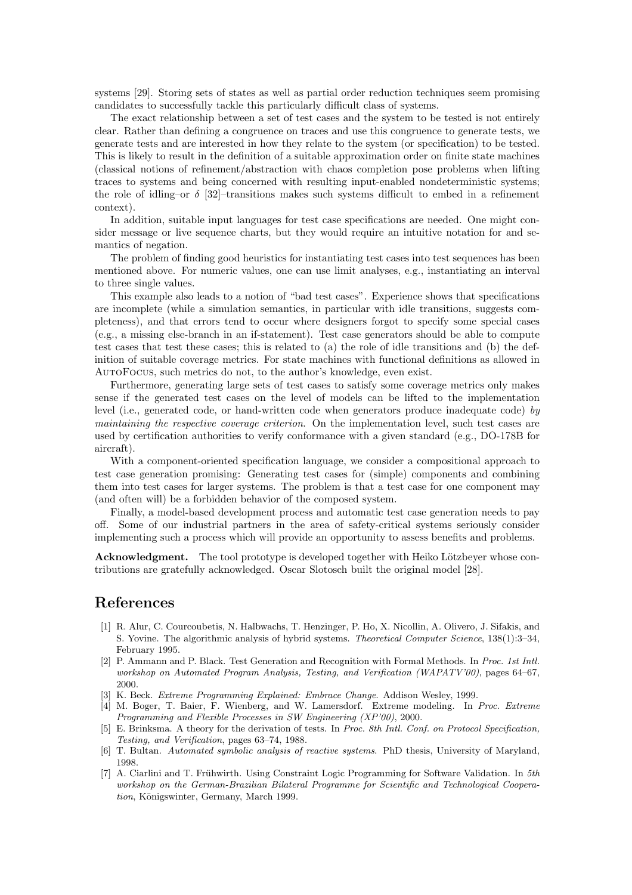systems [29]. Storing sets of states as well as partial order reduction techniques seem promising candidates to successfully tackle this particularly difficult class of systems.

The exact relationship between a set of test cases and the system to be tested is not entirely clear. Rather than defining a congruence on traces and use this congruence to generate tests, we generate tests and are interested in how they relate to the system (or specification) to be tested. This is likely to result in the definition of a suitable approximation order on finite state machines (classical notions of refinement/abstraction with chaos completion pose problems when lifting traces to systems and being concerned with resulting input-enabled nondeterministic systems; the role of idling–or  $\delta$  [32]–transitions makes such systems difficult to embed in a refinement context).

In addition, suitable input languages for test case specifications are needed. One might consider message or live sequence charts, but they would require an intuitive notation for and semantics of negation.

The problem of finding good heuristics for instantiating test cases into test sequences has been mentioned above. For numeric values, one can use limit analyses, e.g., instantiating an interval to three single values.

This example also leads to a notion of "bad test cases". Experience shows that specifications are incomplete (while a simulation semantics, in particular with idle transitions, suggests completeness), and that errors tend to occur where designers forgot to specify some special cases (e.g., a missing else-branch in an if-statement). Test case generators should be able to compute test cases that test these cases; this is related to (a) the role of idle transitions and (b) the definition of suitable coverage metrics. For state machines with functional definitions as allowed in AutoFocus, such metrics do not, to the author's knowledge, even exist.

Furthermore, generating large sets of test cases to satisfy some coverage metrics only makes sense if the generated test cases on the level of models can be lifted to the implementation level (i.e., generated code, or hand-written code when generators produce inadequate code) by maintaining the respective coverage criterion. On the implementation level, such test cases are used by certification authorities to verify conformance with a given standard (e.g., DO-178B for aircraft).

With a component-oriented specification language, we consider a compositional approach to test case generation promising: Generating test cases for (simple) components and combining them into test cases for larger systems. The problem is that a test case for one component may (and often will) be a forbidden behavior of the composed system.

Finally, a model-based development process and automatic test case generation needs to pay off. Some of our industrial partners in the area of safety-critical systems seriously consider implementing such a process which will provide an opportunity to assess benefits and problems.

Acknowledgment. The tool prototype is developed together with Heiko Lötzbeyer whose contributions are gratefully acknowledged. Oscar Slotosch built the original model [28].

#### References

- [1] R. Alur, C. Courcoubetis, N. Halbwachs, T. Henzinger, P. Ho, X. Nicollin, A. Olivero, J. Sifakis, and S. Yovine. The algorithmic analysis of hybrid systems. Theoretical Computer Science, 138(1):3–34, February 1995.
- [2] P. Ammann and P. Black. Test Generation and Recognition with Formal Methods. In Proc. 1st Intl. workshop on Automated Program Analysis, Testing, and Verification (WAPATV'00), pages 64–67, 2000.
- [3] K. Beck. Extreme Programming Explained: Embrace Change. Addison Wesley, 1999.
- [4] M. Boger, T. Baier, F. Wienberg, and W. Lamersdorf. Extreme modeling. In Proc. Extreme Programming and Flexible Processes in SW Engineering (XP'00), 2000.
- [5] E. Brinksma. A theory for the derivation of tests. In Proc. 8th Intl. Conf. on Protocol Specification, Testing, and Verification, pages 63–74, 1988.
- [6] T. Bultan. Automated symbolic analysis of reactive systems. PhD thesis, University of Maryland, 1998.
- [7] A. Ciarlini and T. Frühwirth. Using Constraint Logic Programming for Software Validation. In  $5th$ workshop on the German-Brazilian Bilateral Programme for Scientific and Technological Cooperation, Königswinter, Germany, March 1999.